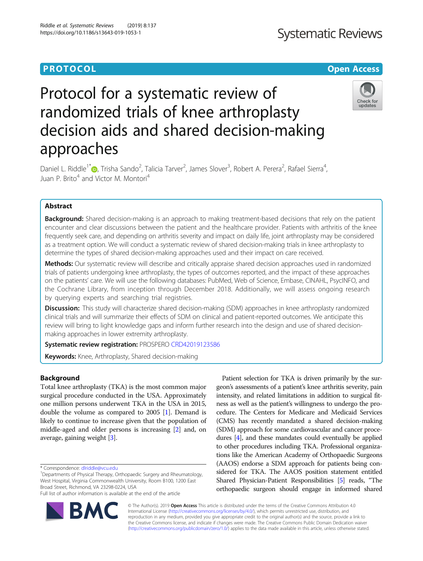# **PROTOCOL CONSUMING THE OPEN ACCESS**

# **Systematic Reviews**

# Protocol for a systematic review of randomized trials of knee arthroplasty decision aids and shared decision-making approaches



Daniel L. Riddle<sup>1[\\*](http://orcid.org/0000-0002-3611-2739)</sup>®, Trisha Sando<sup>2</sup>, Talicia Tarver<sup>2</sup>, James Slover<sup>3</sup>, Robert A. Perera<sup>2</sup>, Rafael Sierra<sup>4</sup> , Juan P. Brito<sup>4</sup> and Victor M. Montori<sup>4</sup>

# Abstract

**Background:** Shared decision-making is an approach to making treatment-based decisions that rely on the patient encounter and clear discussions between the patient and the healthcare provider. Patients with arthritis of the knee frequently seek care, and depending on arthritis severity and impact on daily life, joint arthroplasty may be considered as a treatment option. We will conduct a systematic review of shared decision-making trials in knee arthroplasty to determine the types of shared decision-making approaches used and their impact on care received.

Methods: Our systematic review will describe and critically appraise shared decision approaches used in randomized trials of patients undergoing knee arthroplasty, the types of outcomes reported, and the impact of these approaches on the patients' care. We will use the following databases: PubMed, Web of Science, Embase, CINAHL, PsycINFO, and the Cochrane Library, from inception through December 2018. Additionally, we will assess ongoing research by querying experts and searching trial registries.

**Discussion:** This study will characterize shared decision-making (SDM) approaches in knee arthroplasty randomized clinical trials and will summarize their effects of SDM on clinical and patient-reported outcomes. We anticipate this review will bring to light knowledge gaps and inform further research into the design and use of shared decisionmaking approaches in lower extremity arthroplasty.

Systematic review registration: PROSPERO [CRD42019123586](https://www.crd.york.ac.uk/prospero/display_record.php?RecordID=123586)

**Keywords:** Knee, Arthroplasty, Shared decision-making

# Background

Total knee arthroplasty (TKA) is the most common major surgical procedure conducted in the USA. Approximately one million persons underwent TKA in the USA in 2015, double the volume as compared to 2005 [\[1](#page-4-0)]. Demand is likely to continue to increase given that the population of middle-aged and older persons is increasing [\[2\]](#page-4-0) and, on average, gaining weight [\[3\]](#page-4-0).

Full list of author information is available at the end of the article





© The Author(s). 2019 Open Access This article is distributed under the terms of the Creative Commons Attribution 4.0 International License [\(http://creativecommons.org/licenses/by/4.0/](http://creativecommons.org/licenses/by/4.0/)), which permits unrestricted use, distribution, and reproduction in any medium, provided you give appropriate credit to the original author(s) and the source, provide a link to the Creative Commons license, and indicate if changes were made. The Creative Commons Public Domain Dedication waiver [\(http://creativecommons.org/publicdomain/zero/1.0/](http://creativecommons.org/publicdomain/zero/1.0/)) applies to the data made available in this article, unless otherwise stated.

<sup>\*</sup> Correspondence: [dlriddle@vcu.edu](mailto:dlriddle@vcu.edu) <sup>1</sup>

<sup>&</sup>lt;sup>1</sup>Departments of Physical Therapy, Orthopaedic Surgery and Rheumatology, West Hospital, Virginia Commonwealth University, Room B100, 1200 East Broad Street, Richmond, VA 23298-0224, USA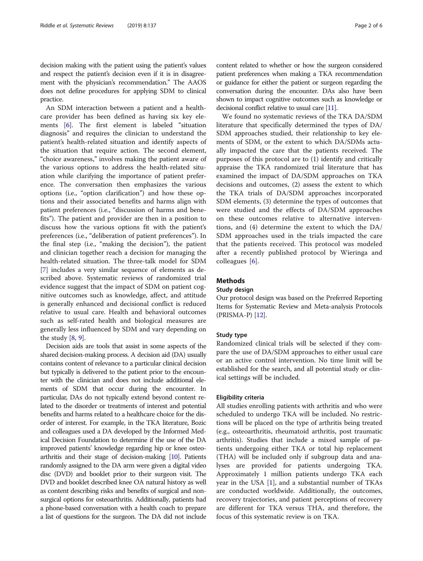decision making with the patient using the patient's values and respect the patient's decision even if it is in disagreement with the physician's recommendation." The AAOS does not define procedures for applying SDM to clinical practice.

An SDM interaction between a patient and a healthcare provider has been defined as having six key elements [\[6\]](#page-4-0). The first element is labeled "situation diagnosis" and requires the clinician to understand the patient's health-related situation and identify aspects of the situation that require action. The second element, "choice awareness," involves making the patient aware of the various options to address the health-related situation while clarifying the importance of patient preference. The conversation then emphasizes the various options (i.e., "option clarification") and how these options and their associated benefits and harms align with patient preferences (i.e., "discussion of harms and benefits"). The patient and provider are then in a position to discuss how the various options fit with the patient's preferences (i.e., "deliberation of patient preferences"). In the final step (i.e., "making the decision"), the patient and clinician together reach a decision for managing the health-related situation. The three-talk model for SDM [[7\]](#page-4-0) includes a very similar sequence of elements as described above. Systematic reviews of randomized trial evidence suggest that the impact of SDM on patient cognitive outcomes such as knowledge, affect, and attitude is generally enhanced and decisional conflict is reduced relative to usual care. Health and behavioral outcomes such as self-rated health and biological measures are generally less influenced by SDM and vary depending on the study  $[8, 9]$  $[8, 9]$  $[8, 9]$  $[8, 9]$  $[8, 9]$ .

Decision aids are tools that assist in some aspects of the shared decision-making process. A decision aid (DA) usually contains content of relevance to a particular clinical decision but typically is delivered to the patient prior to the encounter with the clinician and does not include additional elements of SDM that occur during the encounter. In particular, DAs do not typically extend beyond content related to the disorder or treatments of interest and potential benefits and harms related to a healthcare choice for the disorder of interest. For example, in the TKA literature, Bozic and colleagues used a DA developed by the Informed Medical Decision Foundation to determine if the use of the DA improved patients' knowledge regarding hip or knee osteoarthritis and their stage of decision-making [\[10](#page-5-0)]. Patients randomly assigned to the DA arm were given a digital video disc (DVD) and booklet prior to their surgeon visit. The DVD and booklet described knee OA natural history as well as content describing risks and benefits of surgical and nonsurgical options for osteoarthritis. Additionally, patients had a phone-based conversation with a health coach to prepare a list of questions for the surgeon. The DA did not include

content related to whether or how the surgeon considered patient preferences when making a TKA recommendation or guidance for either the patient or surgeon regarding the conversation during the encounter. DAs also have been shown to impact cognitive outcomes such as knowledge or decisional conflict relative to usual care [\[11\]](#page-5-0).

We found no systematic reviews of the TKA DA/SDM literature that specifically determined the types of DA/ SDM approaches studied, their relationship to key elements of SDM, or the extent to which DA/SDMs actually impacted the care that the patients received. The purposes of this protocol are to (1) identify and critically appraise the TKA randomized trial literature that has examined the impact of DA/SDM approaches on TKA decisions and outcomes, (2) assess the extent to which the TKA trials of DA/SDM approaches incorporated SDM elements, (3) determine the types of outcomes that were studied and the effects of DA/SDM approaches on these outcomes relative to alternative interventions, and (4) determine the extent to which the DA/ SDM approaches used in the trials impacted the care that the patients received. This protocol was modeled after a recently published protocol by Wieringa and colleagues [\[6](#page-4-0)].

# Methods

# Study design

Our protocol design was based on the Preferred Reporting Items for Systematic Review and Meta-analysis Protocols (PRISMA-P) [\[12\]](#page-5-0).

# Study type

Randomized clinical trials will be selected if they compare the use of DA/SDM approaches to either usual care or an active control intervention. No time limit will be established for the search, and all potential study or clinical settings will be included.

# Eligibility criteria

All studies enrolling patients with arthritis and who were scheduled to undergo TKA will be included. No restrictions will be placed on the type of arthritis being treated (e.g., osteoarthritis, rheumatoid arthritis, post traumatic arthritis). Studies that include a mixed sample of patients undergoing either TKA or total hip replacement (THA) will be included only if subgroup data and analyses are provided for patients undergoing TKA. Approximately 1 million patients undergo TKA each year in the USA [\[1](#page-4-0)], and a substantial number of TKAs are conducted worldwide. Additionally, the outcomes, recovery trajectories, and patient perceptions of recovery are different for TKA versus THA, and therefore, the focus of this systematic review is on TKA.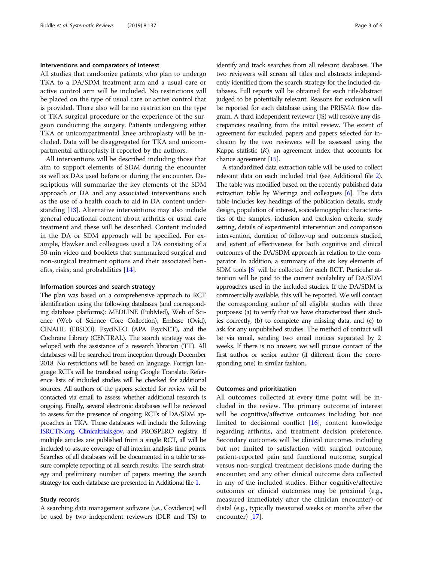### Interventions and comparators of interest

All studies that randomize patients who plan to undergo TKA to a DA/SDM treatment arm and a usual care or active control arm will be included. No restrictions will be placed on the type of usual care or active control that is provided. There also will be no restriction on the type of TKA surgical procedure or the experience of the surgeon conducting the surgery. Patients undergoing either TKA or unicompartmental knee arthroplasty will be included. Data will be disaggregated for TKA and unicompartmental arthroplasty if reported by the authors.

All interventions will be described including those that aim to support elements of SDM during the encounter as well as DAs used before or during the encounter. Descriptions will summarize the key elements of the SDM approach or DA and any associated interventions such as the use of a health coach to aid in DA content understanding [[13\]](#page-5-0). Alternative interventions may also include general educational content about arthritis or usual care treatment and these will be described. Content included in the DA or SDM approach will be specified. For example, Hawker and colleagues used a DA consisting of a 50-min video and booklets that summarized surgical and non-surgical treatment options and their associated benefits, risks, and probabilities [\[14](#page-5-0)].

# Information sources and search strategy

The plan was based on a comprehensive approach to RCT identification using the following databases (and corresponding database platforms): MEDLINE (PubMed), Web of Science (Web of Science Core Collection), Embase (Ovid), CINAHL (EBSCO), PsycINFO (APA PsycNET), and the Cochrane Library (CENTRAL). The search strategy was developed with the assistance of a research librarian (TT). All databases will be searched from inception through December 2018. No restrictions will be based on language. Foreign language RCTs will be translated using Google Translate. Reference lists of included studies will be checked for additional sources. All authors of the papers selected for review will be contacted via email to assess whether additional research is ongoing. Finally, several electronic databases will be reviewed to assess for the presence of ongoing RCTs of DA/SDM approaches in TKA. These databases will include the following: [ISRCTN.org](http://isrctn.org), [Clinicaltrials.gov,](http://clinicaltrials.gov) and PROSPERO registry. If multiple articles are published from a single RCT, all will be included to assure coverage of all interim analysis time points. Searches of all databases will be documented in a table to assure complete reporting of all search results. The search strategy and preliminary number of papers meeting the search strategy for each database are presented in Additional file [1.](#page-4-0)

# Study records

A searching data management software (i.e., Covidence) will be used by two independent reviewers (DLR and TS) to identify and track searches from all relevant databases. The two reviewers will screen all titles and abstracts independently identified from the search strategy for the included databases. Full reports will be obtained for each title/abstract judged to be potentially relevant. Reasons for exclusion will be reported for each database using the PRISMA flow diagram. A third independent reviewer (JS) will resolve any discrepancies resulting from the initial review. The extent of agreement for excluded papers and papers selected for inclusion by the two reviewers will be assessed using the Kappa statistic  $(K)$ , an agreement index that accounts for chance agreement [\[15\]](#page-5-0).

A standardized data extraction table will be used to collect relevant data on each included trial (see Additional file [2](#page-4-0)). The table was modified based on the recently published data extraction table by Wieringa and colleagues [[6](#page-4-0)]. The data table includes key headings of the publication details, study design, population of interest, sociodemographic characteristics of the samples, inclusion and exclusion criteria, study setting, details of experimental intervention and comparison intervention, duration of follow-up and outcomes studied, and extent of effectiveness for both cognitive and clinical outcomes of the DA/SDM approach in relation to the comparator. In addition, a summary of the six key elements of SDM tools [\[6\]](#page-4-0) will be collected for each RCT. Particular attention will be paid to the current availability of DA/SDM approaches used in the included studies. If the DA/SDM is commercially available, this will be reported. We will contact the corresponding author of all eligible studies with three purposes: (a) to verify that we have characterized their studies correctly, (b) to complete any missing data, and (c) to ask for any unpublished studies. The method of contact will be via email, sending two email notices separated by 2 weeks. If there is no answer, we will pursue contact of the first author or senior author (if different from the corresponding one) in similar fashion.

# Outcomes and prioritization

All outcomes collected at every time point will be included in the review. The primary outcome of interest will be cognitive/affective outcomes including but not limited to decisional conflict [[16\]](#page-5-0), content knowledge regarding arthritis, and treatment decision preference. Secondary outcomes will be clinical outcomes including but not limited to satisfaction with surgical outcome, patient-reported pain and functional outcome, surgical versus non-surgical treatment decisions made during the encounter, and any other clinical outcome data collected in any of the included studies. Either cognitive/affective outcomes or clinical outcomes may be proximal (e.g., measured immediately after the clinician encounter) or distal (e.g., typically measured weeks or months after the encounter) [\[17](#page-5-0)].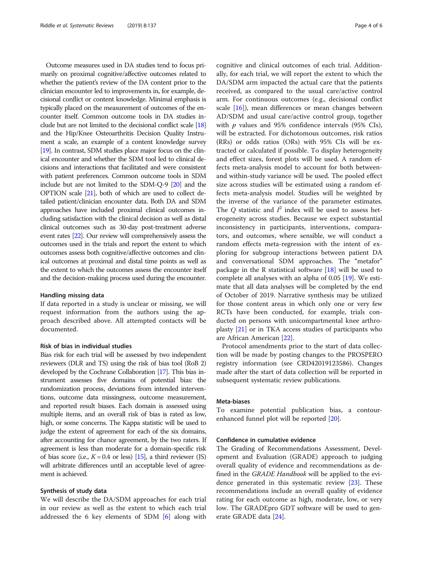Outcome measures used in DA studies tend to focus primarily on proximal cognitive/affective outcomes related to whether the patient's review of the DA content prior to the clinician encounter led to improvements in, for example, decisional conflict or content knowledge. Minimal emphasis is typically placed on the measurement of outcomes of the encounter itself. Common outcome tools in DA studies include but are not limited to the decisional conflict scale [\[18](#page-5-0)] and the Hip/Knee Osteoarthritis Decision Quality Instrument a scale, an example of a content knowledge survey [[19\]](#page-5-0). In contrast, SDM studies place major focus on the clinical encounter and whether the SDM tool led to clinical decisions and interactions that facilitated and were consistent with patient preferences. Common outcome tools in SDM include but are not limited to the SDM-Q-9 [[20\]](#page-5-0) and the OPTION scale [\[21\]](#page-5-0), both of which are used to collect detailed patient/clinician encounter data. Both DA and SDM approaches have included proximal clinical outcomes including satisfaction with the clinical decision as well as distal clinical outcomes such as 30-day post-treatment adverse event rates [[22\]](#page-5-0). Our review will comprehensively assess the outcomes used in the trials and report the extent to which outcomes assess both cognitive/affective outcomes and clinical outcomes at proximal and distal time points as well as the extent to which the outcomes assess the encounter itself and the decision-making process used during the encounter.

# Handling missing data

If data reported in a study is unclear or missing, we will request information from the authors using the approach described above. All attempted contacts will be documented.

# Risk of bias in individual studies

Bias risk for each trial will be assessed by two independent reviewers (DLR and TS) using the risk of bias tool (RoB 2) developed by the Cochrane Collaboration [\[17\]](#page-5-0). This bias instrument assesses five domains of potential bias: the randomization process, deviations from intended interventions, outcome data missingness, outcome measurement, and reported result biases. Each domain is assessed using multiple items, and an overall risk of bias is rated as low, high, or some concerns. The Kappa statistic will be used to judge the extent of agreement for each of the six domains, after accounting for chance agreement, by the two raters. If agreement is less than moderate for a domain-specific risk of bias score (i.e.,  $K = 0.4$  or less) [\[15](#page-5-0)], a third reviewer (JS) will arbitrate differences until an acceptable level of agreement is achieved.

# Synthesis of study data

We will describe the DA/SDM approaches for each trial in our review as well as the extent to which each trial addressed the 6 key elements of SDM [\[6](#page-4-0)] along with cognitive and clinical outcomes of each trial. Additionally, for each trial, we will report the extent to which the DA/SDM arm impacted the actual care that the patients received, as compared to the usual care/active control arm. For continuous outcomes (e.g., decisional conflict scale  $[16]$  $[16]$  $[16]$ , mean differences or mean changes between AD/SDM and usual care/active control group, together with  $p$  values and 95% confidence intervals (95% CIs), will be extracted. For dichotomous outcomes, risk ratios (RRs) or odds ratios (ORs) with 95% CIs will be extracted or calculated if possible. To display heterogeneity and effect sizes, forest plots will be used. A random effects meta-analysis model to account for both betweenand within-study variance will be used. The pooled effect size across studies will be estimated using a random effects meta-analysis model. Studies will be weighted by the inverse of the variance of the parameter estimates. The Q statistic and  $I^2$  index will be used to assess heterogeneity across studies. Because we expect substantial inconsistency in participants, interventions, comparators, and outcomes, where sensible, we will conduct a random effects meta-regression with the intent of exploring for subgroup interactions between patient DA and conversational SDM approaches. The "metafor" package in the R statistical software [[18](#page-5-0)] will be used to complete all analyses with an alpha of 0.05 [[19\]](#page-5-0). We estimate that all data analyses will be completed by the end of October of 2019. Narrative synthesis may be utilized for those content areas in which only one or very few RCTs have been conducted, for example, trials conducted on persons with unicompartmental knee arthroplasty [[21\]](#page-5-0) or in TKA access studies of participants who are African American [\[22](#page-5-0)].

Protocol amendments prior to the start of data collection will be made by posting changes to the PROSPERO registry information (see CRD42019123586). Changes made after the start of data collection will be reported in subsequent systematic review publications.

### Meta-biases

To examine potential publication bias, a contourenhanced funnel plot will be reported [\[20](#page-5-0)].

# Confidence in cumulative evidence

The Grading of Recommendations Assessment, Development and Evaluation (GRADE) approach to judging overall quality of evidence and recommendations as defined in the *GRADE Handbook* will be applied to the evidence generated in this systematic review [[23\]](#page-5-0). These recommendations include an overall quality of evidence rating for each outcome as high, moderate, low, or very low. The GRADEpro GDT software will be used to generate GRADE data [\[24\]](#page-5-0).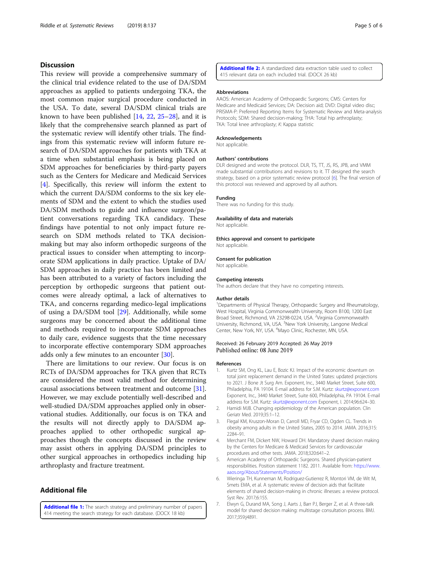# <span id="page-4-0"></span>**Discussion**

This review will provide a comprehensive summary of the clinical trial evidence related to the use of DA/SDM approaches as applied to patients undergoing TKA, the most common major surgical procedure conducted in the USA. To date, several DA/SDM clinical trials are known to have been published  $[14, 22, 25-28]$  $[14, 22, 25-28]$  $[14, 22, 25-28]$  $[14, 22, 25-28]$  $[14, 22, 25-28]$  $[14, 22, 25-28]$  $[14, 22, 25-28]$  $[14, 22, 25-28]$  $[14, 22, 25-28]$ , and it is likely that the comprehensive search planned as part of the systematic review will identify other trials. The findings from this systematic review will inform future research of DA/SDM approaches for patients with TKA at a time when substantial emphasis is being placed on SDM approaches for beneficiaries by third-party payers such as the Centers for Medicare and Medicaid Services [4]. Specifically, this review will inform the extent to which the current DA/SDM conforms to the six key elements of SDM and the extent to which the studies used DA/SDM methods to guide and influence surgeon/patient conversations regarding TKA candidacy. These findings have potential to not only impact future research on SDM methods related to TKA decisionmaking but may also inform orthopedic surgeons of the practical issues to consider when attempting to incorporate SDM applications in daily practice. Uptake of DA/ SDM approaches in daily practice has been limited and has been attributed to a variety of factors including the perception by orthopedic surgeons that patient outcomes were already optimal, a lack of alternatives to TKA, and concerns regarding medico-legal implications of using a DA/SDM tool [\[29](#page-5-0)]. Additionally, while some surgeons may be concerned about the additional time and methods required to incorporate SDM approaches to daily care, evidence suggests that the time necessary to incorporate effective contemporary SDM approaches adds only a few minutes to an encounter [\[30](#page-5-0)].

There are limitations to our review. Our focus is on RCTs of DA/SDM approaches for TKA given that RCTs are considered the most valid method for determining causal associations between treatment and outcome [\[31](#page-5-0)]. However, we may exclude potentially well-described and well-studied DA/SDM approaches applied only in observational studies. Additionally, our focus is on TKA and the results will not directly apply to DA/SDM approaches applied to other orthopedic surgical approaches though the concepts discussed in the review may assist others in applying DA/SDM principles to other surgical approaches in orthopedics including hip arthroplasty and fracture treatment.

# Additional file

[Additional file 1:](https://doi.org/10.1186/s13643-019-1053-1) The search strategy and preliminary number of papers 414 meeting the search strategy for each database. (DOCX 18 kb)

[Additional file 2:](https://doi.org/10.1186/s13643-019-1053-1) A standardized data extraction table used to collect 415 relevant data on each included trial. (DOCX 26 kb)

#### **Abbreviations**

AAOS: American Academy of Orthopaedic Surgeons; CMS: Centers for Medicare and Medicaid Services; DA: Decision aid; DVD: Digital video disc; PRISMA-P: Preferred Reporting Items for Systematic Review and Meta-analysis Protocols; SDM: Shared decision-making; THA: Total hip arthroplasty; TKA: Total knee arthroplasty; Κ: Kappa statistic

#### Acknowledgements

Not applicable.

#### Authors' contributions

DLR designed and wrote the protocol. DLR, TS, TT, JS, RS, JPB, and VMM made substantial contributions and revisions to it. TT designed the search strategy, based on a prior systematic review protocol [6]. The final version of this protocol was reviewed and approved by all authors.

#### Funding

There was no funding for this study.

#### Availability of data and materials

Not applicable.

# Ethics approval and consent to participate

Not applicable.

### Consent for publication

Not applicable.

#### Competing interests

The authors declare that they have no competing interests.

#### Author details

<sup>1</sup>Departments of Physical Therapy, Orthopaedic Surgery and Rheumatology, West Hospital, Virginia Commonwealth University, Room B100, 1200 East Broad Street, Richmond, VA 23298-0224, USA. <sup>2</sup>Virginia Commonwealth University, Richmond, VA, USA. <sup>3</sup>New York University, Langone Medical Center, New York, NY, USA. <sup>4</sup>Mayo Clinic, Rochester, MN, USA

### Received: 26 February 2019 Accepted: 26 May 2019 Published online: 08 June 2019

#### References

- 1. Kurtz SM, Ong KL, Lau E, Bozic KJ. Impact of the economic downturn on total joint replacement demand in the United States: updated projections to 2021. J Bone Jt Surg Am. Exponent, Inc., 3440 Market Street, Suite 600, Philadelphia, PA 19104. E-mail address for S.M. Kurtz: [skurtz@exponent.com](mailto:skurtz@exponent.com) Exponent, Inc., 3440 Market Street, Suite 600, Philadelphia, PA 19104. E-mail address for S.M. Kurtz: [skurtz@exponent.com](mailto:skurtz@exponent.com) Exponent, I. 2014;96:624–30.
- 2. Hamidi MJB. Changing epidemiology of the American population. Clin Geriatr Med. 2019;35:1–12.
- 3. Flegal KM, Kruszon-Moran D, Carroll MD, Fryar CD, Ogden CL. Trends in obesity among adults in the United States, 2005 to 2014. JAMA. 2016;315: 2284–91.
- 4. Merchant FM, Dickert NW, Howard DH. Mandatory shared decision making by the Centers for Medicare & Medicaid Services for cardiovascular procedures and other tests. JAMA. 2018;320:641–2.
- 5. American Academy of Orthopaedic Surgeons. Shared physician-patient responsibilities. Position statement 1182. 2011. Available from: [https://www.](https://www.aaos.org/About/Statements/Position/) [aaos.org/About/Statements/Position/](https://www.aaos.org/About/Statements/Position/)
- 6. Wieringa TH, Kunneman M, Rodriguez-Gutierrez R, Montori VM, de Wit M, Smets EMA, et al. A systematic review of decision aids that facilitate elements of shared decision-making in chronic illnesses: a review protocol. Syst Rev. 2017;6:155.
- 7. Elwyn G, Durand MA, Song J, Aarts J, Barr PJ, Berger Z, et al. A three-talk model for shared decision making: multistage consultation process. BMJ. 2017;359:j4891.